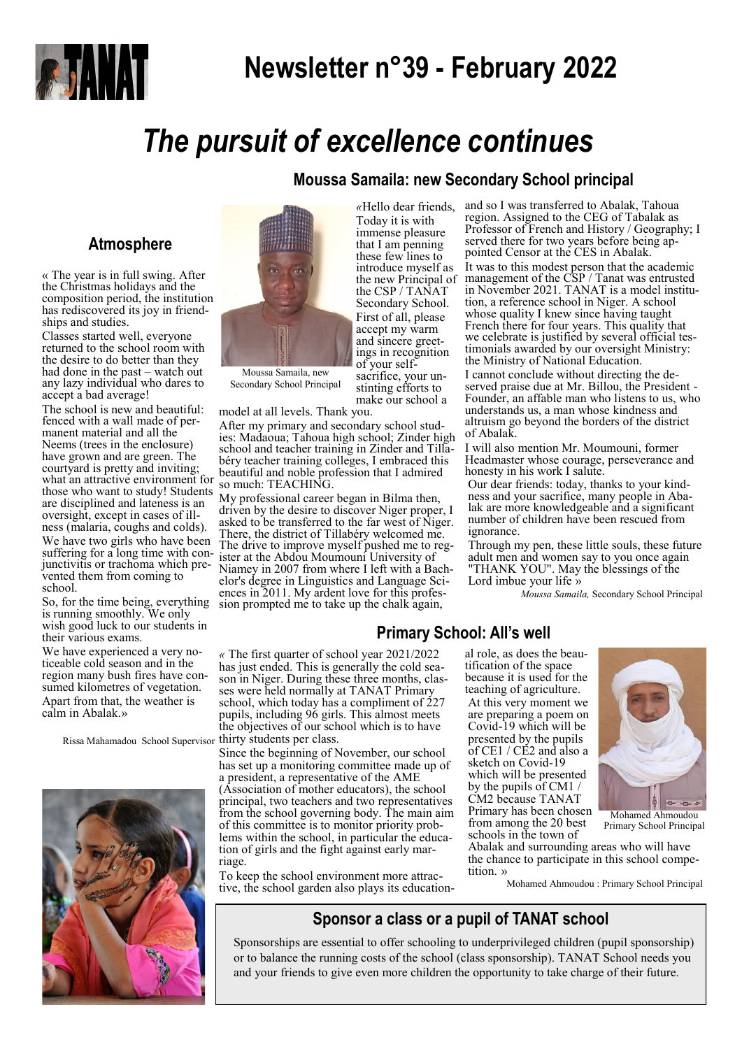

## **Newsletter n°39 - February 2022**

**Moussa Samaila: new Secondary School principal**

# *The pursuit of excellence continues*

#### **Atmosphere**

« The year is in full swing. After the Christmas holidays and the composition period, the institution has rediscovered its joy in friendships and studies.

Classes started well, everyone returned to the school room with the desire to do better than they had done in the past – watch out any lazy individual who dares to accept a bad average!

The school is new and beautiful: fenced with a wall made of permanent material and all the Neems (trees in the enclosure) have grown and are green. The courtyard is pretty and inviting; what an attractive environment for those who want to study! Students are disciplined and lateness is an oversight, except in cases of illness (malaria, coughs and colds). We have two girls who have been suffering for a long time with conjunctivitis or trachoma which prevented them from coming to school.

So, for the time being, everything is running smoothly. We only wish good luck to our students in their various exams.

We have experienced a very noticeable cold season and in the region many bush fires have consumed kilometres of vegetation. Apart from that, the weather is calm in Abalak.»

Rissa Mahamadou School Supervisor thirty students per class.





Moussa Samaila, new Secondary School Principal

model at all levels. Thank you.

After my primary and secondary school studies: Madaoua; Tahoua high school; Zinder high school and teacher training in Zinder and Tillabéry teacher training colleges, I embraced this beautiful and noble profession that I admired so much: TEACHING.

My professional career began in Bilma then, driven by the desire to discover Niger proper, I asked to be transferred to the far west of Niger. There, the district of Tillabéry welcomed me. The drive to improve myself pushed me to register at the Abdou Moumouni University of Niamey in 2007 from where I left with a Bachelor's degree in Linguistics and Language Sciences in 2011. My ardent love for this profession prompted me to take up the chalk again,

Today it is with immense pleasure that I am penning these few lines to introduce myself as the new Principal of the CSP / TANAT Secondary School. First of all, please accept my warm and sincere greetings in recognition of your selfsacrifice, your unstinting efforts to

make our school a

*«*Hello dear friends, and so I was transferred to Abalak, Tahoua region. Assigned to the CEG of Tabalak as Professor of French and History / Geography; I served there for two years before being appointed Censor at the CES in Abalak. It was to this modest person that the academic management of the CSP / Tanat was entrusted in November 2021. TANAT is a model institution, a reference school in Niger. A school whose quality I knew since having taught French there for four years. This quality that we celebrate is justified by several official testimonials awarded by our oversight Ministry:

the Ministry of National Education. I cannot conclude without directing the deserved praise due at Mr. Billou, the President - Founder, an affable man who listens to us, who understands us, a man whose kindness and altruism go beyond the borders of the district of Abalak.

I will also mention Mr. Moumouni, former Headmaster whose courage, perseverance and honesty in his work I salute.

Our dear friends: today, thanks to your kindness and your sacrifice, many people in Abalak are more knowledgeable and a significant number of children have been rescued from ignorance.

Through my pen, these little souls, these future adult men and women say to you once again "THANK YOU". May the blessings of the Lord imbue your life »

*Moussa Samaila,* Secondary School Principal

#### **Primary School: All's well**

*«* The first quarter of school year 2021/2022 has just ended. This is generally the cold season in Niger. During these three months, classes were held normally at TANAT Primary school, which today has a compliment of 227 pupils, including 96 girls. This almost meets the objectives of our school which is to have

Since the beginning of November, our school has set up a monitoring committee made up of a president, a representative of the AME (Association of mother educators), the school principal, two teachers and two representatives from the school governing body. The main aim of this committee is to monitor priority problems within the school, in particular the education of girls and the fight against early marriage.

To keep the school environment more attractive, the school garden also plays its educational role, as does the beautification of the space because it is used for the teaching of agriculture. At this very moment we are preparing a poem on Covid-19 which will be presented by the pupils of CE1 / CE2 and also a sketch on Covid-19 which will be presented by the pupils of CM1 / CM2 because TANAT Primary has been chosen from among the 20 best schools in the town of



Primary School Principal

Abalak and surrounding areas who will have the chance to participate in this school competition. »

Mohamed Ahmoudou : Primary School Principal

**Sponsor a class or a pupil of TANAT school**

Sponsorships are essential to offer schooling to underprivileged children (pupil sponsorship) or to balance the running costs of the school (class sponsorship). TANAT School needs you and your friends to give even more children the opportunity to take charge of their future.